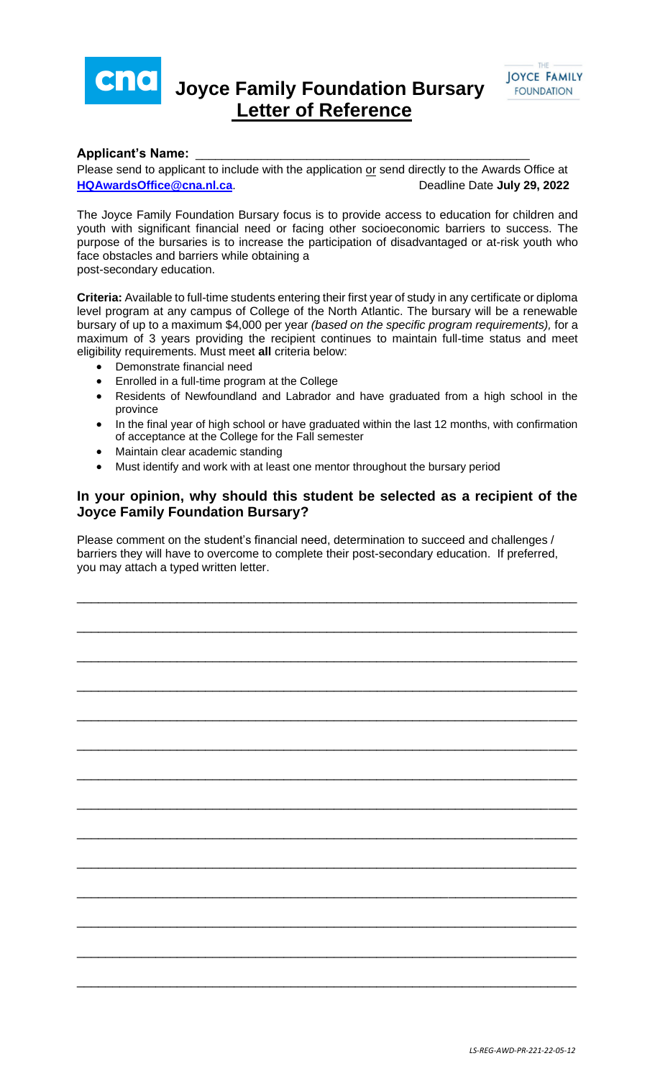

## **Joyce Family Foundation Bursary Letter of Reference**



## **Applicant's Name:** \_\_\_\_\_\_\_\_\_\_\_\_\_\_\_\_\_\_\_\_\_\_\_\_\_\_\_\_\_\_\_\_\_\_\_\_\_\_\_\_\_\_\_\_\_\_\_\_\_\_\_

Please send to applicant to include with the application or send directly to the Awards Office at **[HQAwardsOffice@cna.nl.ca](mailto:HQAwardsOffice@cna.nl.ca).** Deadline Date July 29, 2022

The Joyce Family Foundation Bursary focus is to provide access to education for children and youth with significant financial need or facing other socioeconomic barriers to success. The purpose of the bursaries is to increase the participation of disadvantaged or at-risk youth who face obstacles and barriers while obtaining a post-secondary education.

**Criteria:** Available to full-time students entering their first year of study in any certificate or diploma level program at any campus of College of the North Atlantic. The bursary will be a renewable bursary of up to a maximum \$4,000 per year *(based on the specific program requirements),* for a maximum of 3 years providing the recipient continues to maintain full-time status and meet eligibility requirements. Must meet **all** criteria below:

- Demonstrate financial need
- Enrolled in a full-time program at the College
- Residents of Newfoundland and Labrador and have graduated from a high school in the province
- In the final year of high school or have graduated within the last 12 months, with confirmation of acceptance at the College for the Fall semester
- Maintain clear academic standing
- Must identify and work with at least one mentor throughout the bursary period

## **In your opinion, why should this student be selected as a recipient of the Joyce Family Foundation Bursary?**

Please comment on the student's financial need, determination to succeed and challenges / barriers they will have to overcome to complete their post-secondary education. If preferred, you may attach a typed written letter.

\_\_\_\_\_\_\_\_\_\_\_\_\_\_\_\_\_\_\_\_\_\_\_\_\_\_\_\_\_\_\_\_\_\_\_\_\_\_\_\_\_\_\_\_\_\_\_\_\_\_\_\_\_\_\_\_\_\_\_\_\_\_\_\_\_\_\_\_\_\_

\_\_\_\_\_\_\_\_\_\_\_\_\_\_\_\_\_\_\_\_\_\_\_\_\_\_\_\_\_\_\_\_\_\_\_\_\_\_\_\_\_\_\_\_\_\_\_\_\_\_\_\_\_\_\_\_\_\_\_\_\_\_\_\_\_\_\_\_\_\_

\_\_\_\_\_\_\_\_\_\_\_\_\_\_\_\_\_\_\_\_\_\_\_\_\_\_\_\_\_\_\_\_\_\_\_\_\_\_\_\_\_\_\_\_\_\_\_\_\_\_\_\_\_\_\_\_\_\_\_\_\_\_\_\_\_\_\_\_\_\_

\_\_\_\_\_\_\_\_\_\_\_\_\_\_\_\_\_\_\_\_\_\_\_\_\_\_\_\_\_\_\_\_\_\_\_\_\_\_\_\_\_\_\_\_\_\_\_\_\_\_\_\_\_\_\_\_\_\_\_\_\_\_\_\_\_\_\_\_\_\_

\_\_\_\_\_\_\_\_\_\_\_\_\_\_\_\_\_\_\_\_\_\_\_\_\_\_\_\_\_\_\_\_\_\_\_\_\_\_\_\_\_\_\_\_\_\_\_\_\_\_\_\_\_\_\_\_\_\_\_\_\_\_\_\_\_\_\_\_\_\_

\_\_\_\_\_\_\_\_\_\_\_\_\_\_\_\_\_\_\_\_\_\_\_\_\_\_\_\_\_\_\_\_\_\_\_\_\_\_\_\_\_\_\_\_\_\_\_\_\_\_\_\_\_\_\_\_\_\_\_\_\_\_\_\_\_\_\_\_\_\_

\_\_\_\_\_\_\_\_\_\_\_\_\_\_\_\_\_\_\_\_\_\_\_\_\_\_\_\_\_\_\_\_\_\_\_\_\_\_\_\_\_\_\_\_\_\_\_\_\_\_\_\_\_\_\_\_\_\_\_\_\_\_\_\_\_\_\_\_\_\_

\_\_\_\_\_\_\_\_\_\_\_\_\_\_\_\_\_\_\_\_\_\_\_\_\_\_\_\_\_\_\_\_\_\_\_\_\_\_\_\_\_\_\_\_\_\_\_\_\_\_\_\_\_\_\_\_\_\_\_\_\_\_\_\_\_\_\_\_\_\_

\_\_\_\_\_\_\_\_\_\_\_\_\_\_\_\_\_\_\_\_\_\_\_\_\_\_\_\_\_\_\_\_\_\_\_\_\_\_\_\_\_\_\_\_\_\_\_\_\_\_\_\_\_\_\_\_\_\_\_\_\_\_\_\_\_\_\_\_\_\_

\_\_\_\_\_\_\_\_\_\_\_\_\_\_\_\_\_\_\_\_\_\_\_\_\_\_\_\_\_\_\_\_\_\_\_\_\_\_\_\_\_\_\_\_\_\_\_\_\_\_\_\_\_\_\_\_\_\_\_\_\_\_\_\_\_\_\_\_\_\_

\_\_\_\_\_\_\_\_\_\_\_\_\_\_\_\_\_\_\_\_\_\_\_\_\_\_\_\_\_\_\_\_\_\_\_\_\_\_\_\_\_\_\_\_\_\_\_\_\_\_\_\_\_\_\_\_\_\_\_\_\_\_\_\_\_\_\_\_\_\_

\_\_\_\_\_\_\_\_\_\_\_\_\_\_\_\_\_\_\_\_\_\_\_\_\_\_\_\_\_\_\_\_\_\_\_\_\_\_\_\_\_\_\_\_\_\_\_\_\_\_\_\_\_\_\_\_\_\_\_\_\_\_\_\_\_\_\_\_\_\_

\_\_\_\_\_\_\_\_\_\_\_\_\_\_\_\_\_\_\_\_\_\_\_\_\_\_\_\_\_\_\_\_\_\_\_\_\_\_\_\_\_\_\_\_\_\_\_\_\_\_\_\_\_\_\_\_\_\_\_\_\_\_\_\_\_\_\_\_\_\_

\_\_\_\_\_\_\_\_\_\_\_\_\_\_\_\_\_\_\_\_\_\_\_\_\_\_\_\_\_\_\_\_\_\_\_\_\_\_\_\_\_\_\_\_\_\_\_\_\_\_\_\_\_\_\_\_\_\_\_\_\_\_\_\_\_\_\_\_\_\_